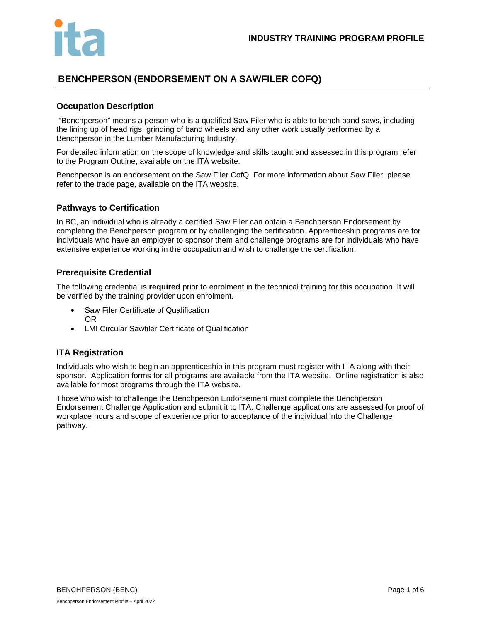

# **BENCHPERSON (ENDORSEMENT ON A SAWFILER COFQ)**

### **Occupation Description**

"Benchperson" means a person who is a qualified Saw Filer who is able to bench band saws, including the lining up of head rigs, grinding of band wheels and any other work usually performed by a Benchperson in the Lumber Manufacturing Industry.

For detailed information on the scope of knowledge and skills taught and assessed in this program refer to the Program Outline, available on the ITA website.

Benchperson is an endorsement on the Saw Filer CofQ. For more information about Saw Filer, please refer to the trade page, available on the ITA website.

#### **Pathways to Certification**

In BC, an individual who is already a certified Saw Filer can obtain a Benchperson Endorsement by completing the Benchperson program or by challenging the certification. Apprenticeship programs are for individuals who have an employer to sponsor them and challenge programs are for individuals who have extensive experience working in the occupation and wish to challenge the certification.

### **Prerequisite Credential**

The following credential is **required** prior to enrolment in the technical training for this occupation. It will be verified by the training provider upon enrolment.

- Saw Filer Certificate of Qualification OR
- LMI Circular Sawfiler Certificate of Qualification

### **ITA Registration**

Individuals who wish to begin an apprenticeship in this program must register with ITA along with their sponsor. Application forms for all programs are available from the ITA website. Online registration is also available for most programs through the ITA website.

Those who wish to challenge the Benchperson Endorsement must complete the Benchperson Endorsement Challenge Application and submit it to ITA. Challenge applications are assessed for proof of workplace hours and scope of experience prior to acceptance of the individual into the Challenge pathway.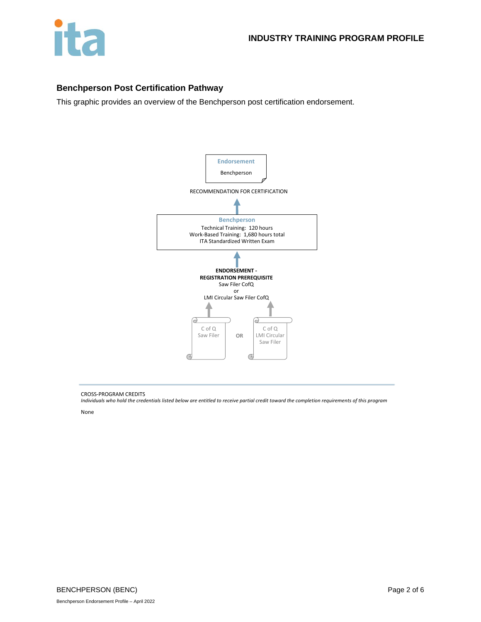

## **Benchperson Post Certification Pathway**

This graphic provides an overview of the Benchperson post certification endorsement.



CROSS-PROGRAM CREDITS

*Individuals who hold the credentials listed below are entitled to receive partial credit toward the completion requirements of this program*

None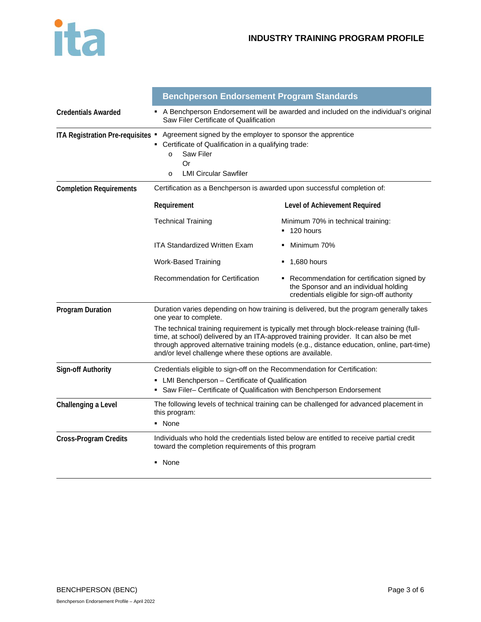|                                   | <b>Benchperson Endorsement Program Standards</b>                                                                                                                                                                                                                                                                                            |                                                                                                                                      |  |
|-----------------------------------|---------------------------------------------------------------------------------------------------------------------------------------------------------------------------------------------------------------------------------------------------------------------------------------------------------------------------------------------|--------------------------------------------------------------------------------------------------------------------------------------|--|
| <b>Credentials Awarded</b>        | A Benchperson Endorsement will be awarded and included on the individual's original<br>Saw Filer Certificate of Qualification                                                                                                                                                                                                               |                                                                                                                                      |  |
| ITA Registration Pre-requisites . | Agreement signed by the employer to sponsor the apprentice<br>Certificate of Qualification in a qualifying trade:<br><b>Saw Filer</b><br>$\Omega$<br>Or<br><b>LMI Circular Sawfiler</b><br>$\circ$                                                                                                                                          |                                                                                                                                      |  |
| <b>Completion Requirements</b>    | Certification as a Benchperson is awarded upon successful completion of:                                                                                                                                                                                                                                                                    |                                                                                                                                      |  |
|                                   | Requirement                                                                                                                                                                                                                                                                                                                                 | Level of Achievement Required                                                                                                        |  |
|                                   | <b>Technical Training</b>                                                                                                                                                                                                                                                                                                                   | Minimum 70% in technical training:<br>$\blacksquare$ 120 hours                                                                       |  |
|                                   | <b>ITA Standardized Written Exam</b>                                                                                                                                                                                                                                                                                                        | Minimum 70%                                                                                                                          |  |
|                                   | <b>Work-Based Training</b>                                                                                                                                                                                                                                                                                                                  | 1,680 hours<br>۰.                                                                                                                    |  |
|                                   | Recommendation for Certification                                                                                                                                                                                                                                                                                                            | • Recommendation for certification signed by<br>the Sponsor and an individual holding<br>credentials eligible for sign-off authority |  |
| <b>Program Duration</b>           | Duration varies depending on how training is delivered, but the program generally takes<br>one year to complete.                                                                                                                                                                                                                            |                                                                                                                                      |  |
|                                   | The technical training requirement is typically met through block-release training (full-<br>time, at school) delivered by an ITA-approved training provider. It can also be met<br>through approved alternative training models (e.g., distance education, online, part-time)<br>and/or level challenge where these options are available. |                                                                                                                                      |  |
| <b>Sign-off Authority</b>         | Credentials eligible to sign-off on the Recommendation for Certification:<br>LMI Benchperson - Certificate of Qualification<br>• Saw Filer- Certificate of Qualification with Benchperson Endorsement                                                                                                                                       |                                                                                                                                      |  |
| Challenging a Level               | The following levels of technical training can be challenged for advanced placement in<br>this program:<br>• None                                                                                                                                                                                                                           |                                                                                                                                      |  |
| <b>Cross-Program Credits</b>      | Individuals who hold the credentials listed below are entitled to receive partial credit<br>toward the completion requirements of this program                                                                                                                                                                                              |                                                                                                                                      |  |
|                                   | ▪ None                                                                                                                                                                                                                                                                                                                                      |                                                                                                                                      |  |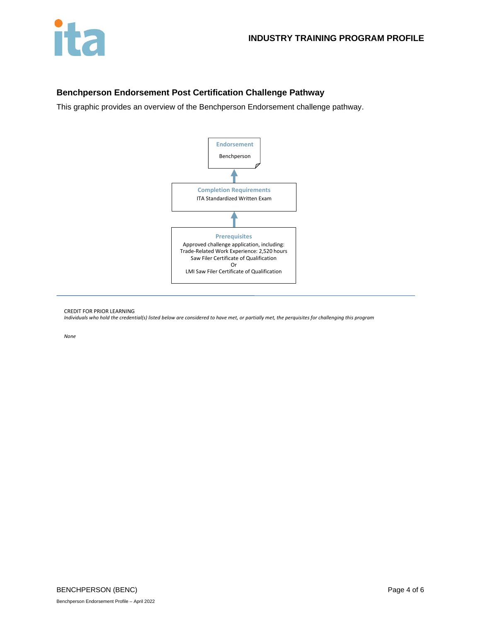

# **Benchperson Endorsement Post Certification Challenge Pathway**

This graphic provides an overview of the Benchperson Endorsement challenge pathway.



CREDIT FOR PRIOR LEARNING

*Individuals who hold the credential(s) listed below are considered to have met, or partially met, the perquisites for challenging this program*

*None*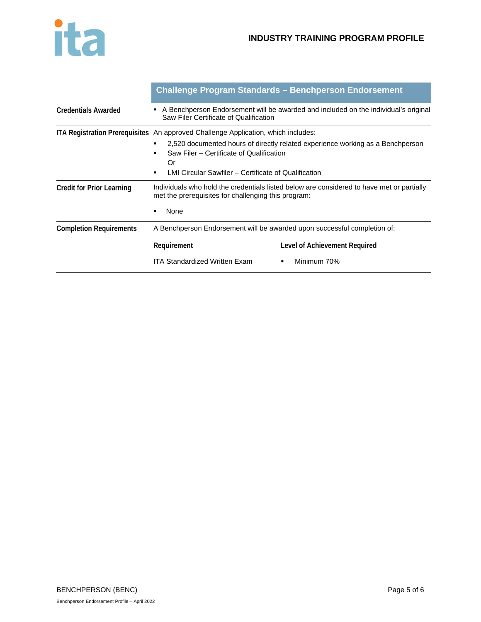

|                                  | <b>Challenge Program Standards - Benchperson Endorsement</b>                                                                                                                                                                                                                       |                                                   |
|----------------------------------|------------------------------------------------------------------------------------------------------------------------------------------------------------------------------------------------------------------------------------------------------------------------------------|---------------------------------------------------|
| <b>Credentials Awarded</b>       | A Benchperson Endorsement will be awarded and included on the individual's original<br>Saw Filer Certificate of Qualification                                                                                                                                                      |                                                   |
|                                  | ITA Registration Prerequisites An approved Challenge Application, which includes:<br>2,520 documented hours of directly related experience working as a Benchperson<br>Saw Filer - Certificate of Qualification<br>Or<br>LMI Circular Sawfiler – Certificate of Qualification<br>٠ |                                                   |
| <b>Credit for Prior Learning</b> | Individuals who hold the credentials listed below are considered to have met or partially<br>met the prerequisites for challenging this program:<br><b>None</b>                                                                                                                    |                                                   |
| <b>Completion Requirements</b>   | A Benchperson Endorsement will be awarded upon successful completion of:<br>Requirement<br><b>ITA Standardized Written Exam</b>                                                                                                                                                    | Level of Achievement Required<br>Minimum 70%<br>٠ |